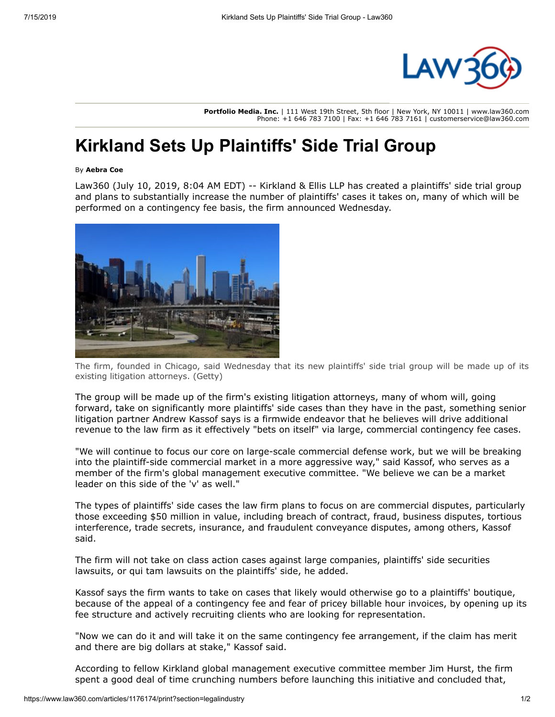

**Portfolio Media. Inc.** | 111 West 19th Street, 5th floor | New York, NY 10011 | www.law360.com Phone: +1 646 783 7100 | Fax: +1 646 783 7161 | customerservice@law360.com

## **Kirkland Sets Up Plaintiffs' Side Trial Group**

## By **Aebra Coe**

Law360 (July 10, 2019, 8:04 AM EDT) -- [Kirkland & Ellis LLP](https://www.law360.com/firms/kirkland-ellis) has created a plaintiffs' side trial group and plans to substantially increase the number of plaintiffs' cases it takes on, many of which will be performed on a contingency fee basis, the firm announced Wednesday.



The firm, founded in Chicago, said Wednesday that its new plaintiffs' side trial group will be made up of its existing litigation attorneys. (Getty)

The group will be made up of the firm's existing litigation attorneys, many of whom will, going forward, take on significantly more plaintiffs' side cases than they have in the past, something senior litigation partner Andrew Kassof says is a firmwide endeavor that he believes will drive additional revenue to the law firm as it effectively "bets on itself" via large, commercial contingency fee cases.

"We will continue to focus our core on large-scale commercial defense work, but we will be breaking into the plaintiff-side commercial market in a more aggressive way," said Kassof, who serves as a member of the firm's global management executive committee. "We believe we can be a market leader on this side of the 'v' as well."

The types of plaintiffs' side cases the law firm plans to focus on are commercial disputes, particularly those exceeding \$50 million in value, including breach of contract, fraud, business disputes, tortious interference, trade secrets, insurance, and fraudulent conveyance disputes, among others, Kassof said.

The firm will not take on class action cases against large companies, plaintiffs' side securities lawsuits, or qui tam lawsuits on the plaintiffs' side, he added.

Kassof says the firm wants to take on cases that likely would otherwise go to a plaintiffs' boutique, because of the appeal of a contingency fee and fear of pricey billable hour invoices, by opening up its fee structure and actively recruiting clients who are looking for representation.

"Now we can do it and will take it on the same contingency fee arrangement, if the claim has merit and there are big dollars at stake," Kassof said.

According to fellow Kirkland global management executive committee member Jim Hurst, the firm spent a good deal of time crunching numbers before launching this initiative and concluded that,